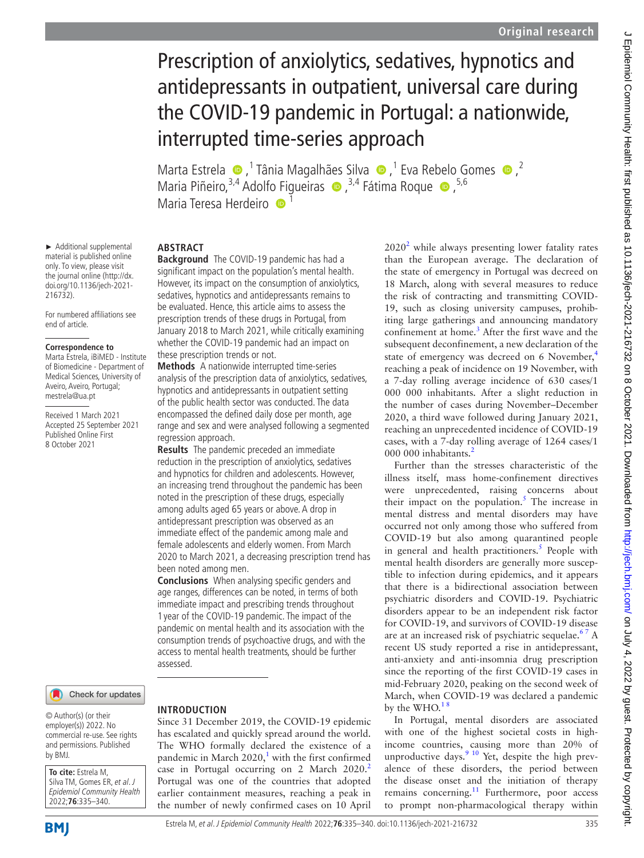# Prescription of anxiolytics, sedatives, hypnotics and antidepressants in outpatient, universal care during the COVID-19 pandemic in Portugal: a nationwide, interrupted time-series approach

MartaEstrela  $\bullet$ ,<sup>1</sup> Tânia Magalhães Silva  $\bullet$ ,<sup>1</sup> Eva Rebelo Gomes  $\bullet$ ,<sup>2</sup> MariaPiñeiro, <sup>3,4</sup> Adolfo Figueiras  $\bullet$ , <sup>3,4</sup> Fátima Roque  $\bullet$ , <sup>5,6</sup> Maria Teresa Herdeiro **iD** 

# **ABSTRACT**

► Additional supplemental material is published online only. To view, please visit the journal online [\(http://dx.](http://dx.doi.org/10.1136/jech-2021-216732) [doi.org/10.1136/jech-2021-](http://dx.doi.org/10.1136/jech-2021-216732)

For numbered affiliations see

[216732](http://dx.doi.org/10.1136/jech-2021-216732)).

end of article.

**Correspondence to** Marta Estrela, iBiMED - Institute of Biomedicine - Department of Medical Sciences, University of Aveiro, Aveiro, Portugal; mestrela@ua.pt

Received 1 March 2021 Accepted 25 September 2021 Published Online First 8 October 2021

**Background** The COVID-19 pandemic has had a significant impact on the population's mental health. However, its impact on the consumption of anxiolytics, sedatives, hypnotics and antidepressants remains to be evaluated. Hence, this article aims to assess the prescription trends of these drugs in Portugal, from January 2018 to March 2021, while critically examining whether the COVID-19 pandemic had an impact on these prescription trends or not.

**Methods** A nationwide interrupted time-series analysis of the prescription data of anxiolytics, sedatives, hypnotics and antidepressants in outpatient setting of the public health sector was conducted. The data encompassed the defined daily dose per month, age range and sex and were analysed following a segmented regression approach.

**Results** The pandemic preceded an immediate reduction in the prescription of anxiolytics, sedatives and hypnotics for children and adolescents. However, an increasing trend throughout the pandemic has been noted in the prescription of these drugs, especially among adults aged 65 years or above. A drop in antidepressant prescription was observed as an immediate effect of the pandemic among male and female adolescents and elderly women. From March 2020 to March 2021, a decreasing prescription trend has been noted among men.

**Conclusions** When analysing specific genders and age ranges, differences can be noted, in terms of both immediate impact and prescribing trends throughout 1 year of the COVID-19 pandemic. The impact of the pandemic on mental health and its association with the consumption trends of psychoactive drugs, and with the access to mental health treatments, should be further assessed.

Check for updates

© Author(s) (or their employer(s)) 2022. No commercial re-use. See rights and permissions. Published by BMJ.

**To cite:** Estrela M, Silva TM, Gomes ER, et al. J Epidemiol Community Health 2022;**76**:335–340.

#### **INTRODUCTION**

Since 31 December 2019, the COVID-19 epidemic has escalated and quickly spread around the world. The WHO formally declared the existence of a pandemic in March  $2020$ ,<sup>[1](#page-4-0)</sup> with the first confirmed case in Portugal occurring on [2](#page-4-1) March  $2020$ . Portugal was one of the countries that adopted earlier containment measures, reaching a peak in the number of newly confirmed cases on 10 April

 $2020<sup>2</sup>$  $2020<sup>2</sup>$  while always presenting lower fatality rates than the European average. The declaration of the state of emergency in Portugal was decreed on 18 March, along with several measures to reduce the risk of contracting and transmitting COVID-19, such as closing university campuses, prohibiting large gatherings and announcing mandatory confinement at home.<sup>[3](#page-4-2)</sup> After the first wave and the subsequent deconfinement, a new declaration of the state of emergency was decreed on 6 November,<sup>[4](#page-4-3)</sup> reaching a peak of incidence on 19 November, with a 7-day rolling average incidence of 630 cases/1 000 000 inhabitants. After a slight reduction in the number of cases during November–December 2020, a third wave followed during January 2021, reaching an unprecedented incidence of COVID-19 cases, with a 7-day rolling average of 1264 cases/1 000 000 inhabitants. $\frac{2}{3}$  $\frac{2}{3}$  $\frac{2}{3}$ 

Further than the stresses characteristic of the illness itself, mass home-confinement directives were unprecedented, raising concerns about their impact on the population.<sup>[5](#page-4-4)</sup> The increase in mental distress and mental disorders may have occurred not only among those who suffered from COVID-19 but also among quarantined people in general and health practitioners.<sup>5</sup> People with mental health disorders are generally more susceptible to infection during epidemics, and it appears that there is a bidirectional association between psychiatric disorders and COVID-19. Psychiatric disorders appear to be an independent risk factor for COVID-19, and survivors of COVID-19 disease are at an increased risk of psychiatric sequelae.<sup>67</sup> A recent US study reported a rise in antidepressant, anti-anxiety and anti-insomnia drug prescription since the reporting of the first COVID-19 cases in mid-February 2020, peaking on the second week of March, when COVID-19 was declared a pandemic by the WHO. $18$ 

In Portugal, mental disorders are associated with one of the highest societal costs in highincome countries, causing more than 20% of unproductive days. $910$  Yet, despite the high prevalence of these disorders, the period between the disease onset and the initiation of therapy remains concerning.<sup>[11](#page-5-2)</sup> Furthermore, poor access to prompt non-pharmacological therapy within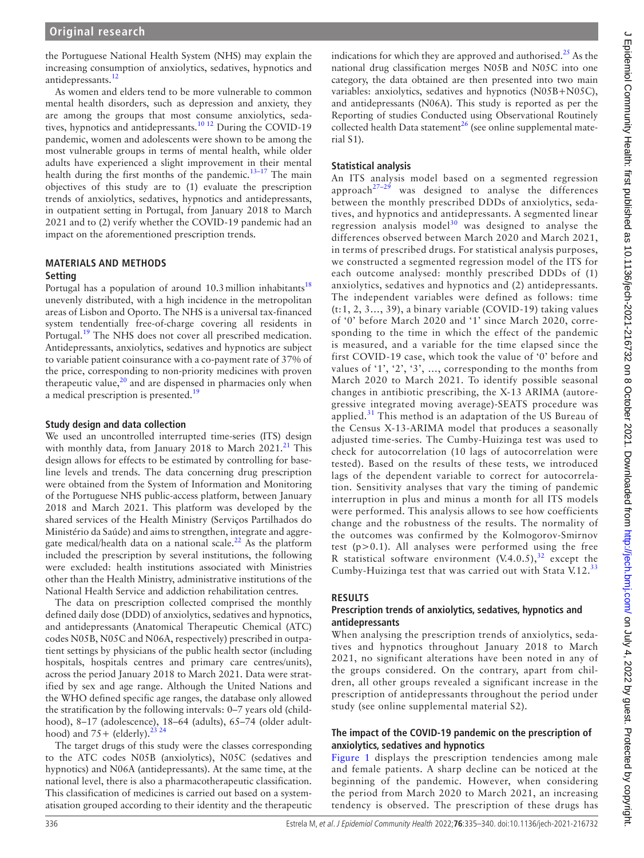the Portuguese National Health System (NHS) may explain the increasing consumption of anxiolytics, sedatives, hypnotics and antidepressants.<sup>[12](#page-5-3)</sup>

As women and elders tend to be more vulnerable to common mental health disorders, such as depression and anxiety, they are among the groups that most consume anxiolytics, sedatives, hypnotics and antidepressants.<sup>10 12</sup> During the COVID-19 pandemic, women and adolescents were shown to be among the most vulnerable groups in terms of mental health, while older adults have experienced a slight improvement in their mental health during the first months of the pandemic.<sup>13-17</sup> The main objectives of this study are to (1) evaluate the prescription trends of anxiolytics, sedatives, hypnotics and antidepressants, in outpatient setting in Portugal, from January 2018 to March 2021 and to (2) verify whether the COVID-19 pandemic had an impact on the aforementioned prescription trends.

#### **MATERIALS AND METHODS Setting**

Portugal has a population of around  $10.3$  million inhabitants<sup>[18](#page-5-6)</sup> unevenly distributed, with a high incidence in the metropolitan areas of Lisbon and Oporto. The NHS is a universal tax-financed system tendentially free-of-charge covering all residents in Portugal.<sup>[19](#page-5-7)</sup> The NHS does not cover all prescribed medication. Antidepressants, anxiolytics, sedatives and hypnotics are subject to variable patient coinsurance with a co-payment rate of 37% of the price, corresponding to non-priority medicines with proven therapeutic value, $20$  and are dispensed in pharmacies only when a medical prescription is presented.<sup>19</sup>

#### **Study design and data collection**

We used an uncontrolled interrupted time-series (ITS) design with monthly data, from January 2018 to March  $2021<sup>21</sup>$  $2021<sup>21</sup>$  $2021<sup>21</sup>$  This design allows for effects to be estimated by controlling for baseline levels and trends. The data concerning drug prescription were obtained from the System of Information and Monitoring of the Portuguese NHS public-access platform, between January 2018 and March 2021. This platform was developed by the shared services of the Health Ministry (Serviços Partilhados do Ministério da Saúde) and aims to strengthen, integrate and aggre-gate medical/health data on a national scale.<sup>[22](#page-5-10)</sup> As the platform included the prescription by several institutions, the following were excluded: health institutions associated with Ministries other than the Health Ministry, administrative institutions of the National Health Service and addiction rehabilitation centres.

The data on prescription collected comprised the monthly defined daily dose (DDD) of anxiolytics, sedatives and hypnotics, and antidepressants (Anatomical Therapeutic Chemical (ATC) codes N05B, N05C and N06A, respectively) prescribed in outpatient settings by physicians of the public health sector (including hospitals, hospitals centres and primary care centres/units), across the period January 2018 to March 2021. Data were stratified by sex and age range. Although the United Nations and the WHO defined specific age ranges, the database only allowed the stratification by the following intervals: 0–7 years old (childhood), 8–17 (adolescence), 18–64 (adults), 65–74 (older adulthood) and  $75+$  (elderly).<sup>[23 24](#page-5-11)</sup>

The target drugs of this study were the classes corresponding to the ATC codes N05B (anxiolytics), N05C (sedatives and hypnotics) and N06A (antidepressants). At the same time, at the national level, there is also a pharmacotherapeutic classification. This classification of medicines is carried out based on a systematisation grouped according to their identity and the therapeutic

indications for which they are approved and authorised.<sup>[25](#page-5-12)</sup> As the national drug classification merges N05B and N05C into one category, the data obtained are then presented into two main variables: anxiolytics, sedatives and hypnotics (N05B+N05C), and antidepressants (N06A). This study is reported as per the Reporting of studies Conducted using Observational Routinely collected health Data statement<sup>[26](#page-5-13)</sup> (see [online supplemental mate](https://dx.doi.org/10.1136/jech-2021-216732)[rial S1](https://dx.doi.org/10.1136/jech-2021-216732)).

## **Statistical analysis**

An ITS analysis model based on a segmented regression approach $27-29$  was designed to analyse the differences between the monthly prescribed DDDs of anxiolytics, sedatives, and hypnotics and antidepressants. A segmented linear regression analysis model<sup>30</sup> was designed to analyse the differences observed between March 2020 and March 2021, in terms of prescribed drugs. For statistical analysis purposes, we constructed a segmented regression model of the ITS for each outcome analysed: monthly prescribed DDDs of (1) anxiolytics, sedatives and hypnotics and (2) antidepressants. The independent variables were defined as follows: time (t:1, 2, 3…, 39), a binary variable (COVID-19) taking values of '0' before March 2020 and '1' since March 2020, corresponding to the time in which the effect of the pandemic is measured, and a variable for the time elapsed since the first COVID-19 case, which took the value of '0' before and values of '1', '2', '3', …, corresponding to the months from March 2020 to March 2021. To identify possible seasonal changes in antibiotic prescribing, the X-13 ARIMA (autoregressive integrated moving average)-SEATS procedure was applied.<sup>31</sup> This method is an adaptation of the US Bureau of the Census X-13-ARIMA model that produces a seasonally adjusted time-series. The Cumby-Huizinga test was used to check for autocorrelation (10 lags of autocorrelation were tested). Based on the results of these tests, we introduced lags of the dependent variable to correct for autocorrelation. Sensitivity analyses that vary the timing of pandemic interruption in plus and minus a month for all ITS models were performed. This analysis allows to see how coefficients change and the robustness of the results. The normality of the outcomes was confirmed by the Kolmogorov-Smirnov test  $(p>0.1)$ . All analyses were performed using the free R statistical software environment  $(V.4.0.5)$ ,<sup>[32](#page-5-17)</sup> except the Cumby-Huizinga test that was carried out with Stata V.12.[33](#page-5-18)

## **RESULTS**

#### **Prescription trends of anxiolytics, sedatives, hypnotics and antidepressants**

When analysing the prescription trends of anxiolytics, sedatives and hypnotics throughout January 2018 to March 2021, no significant alterations have been noted in any of the groups considered. On the contrary, apart from children, all other groups revealed a significant increase in the prescription of antidepressants throughout the period under study (see [online supplemental material S2](https://dx.doi.org/10.1136/jech-2021-216732)).

#### **The impact of the COVID-19 pandemic on the prescription of anxiolytics, sedatives and hypnotics**

[Figure](#page-2-0) 1 displays the prescription tendencies among male and female patients. A sharp decline can be noticed at the beginning of the pandemic. However, when considering the period from March 2020 to March 2021, an increasing tendency is observed. The prescription of these drugs has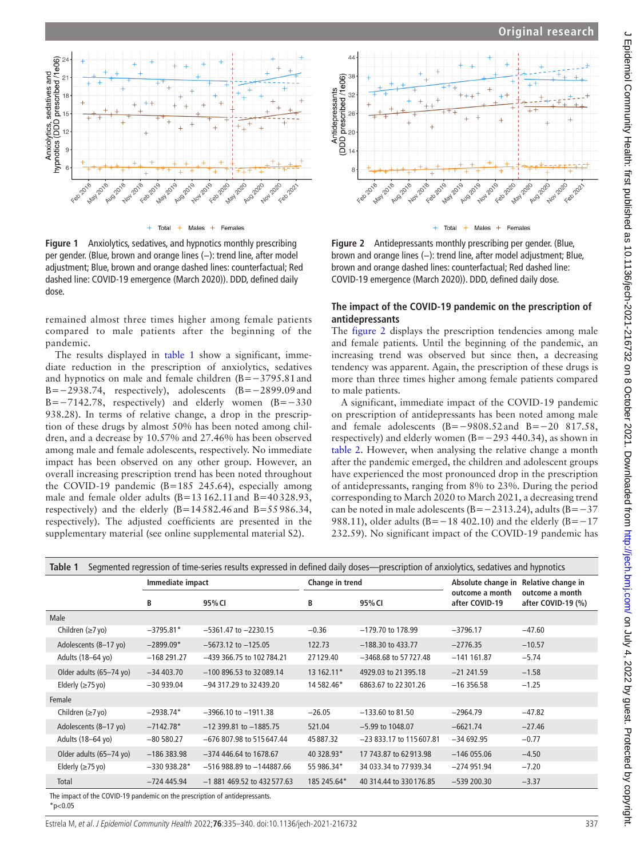

Total Males  $\ddot{+}$ Females

<span id="page-2-0"></span>**Figure 1** Anxiolytics, sedatives, and hypnotics monthly prescribing per gender. (Blue, brown and orange lines (−): trend line, after model adjustment; Blue, brown and orange dashed lines: counterfactual; Red dashed line: COVID-19 emergence (March 2020)). DDD, defined daily dose.

remained almost three times higher among female patients compared to male patients after the beginning of the pandemic.

The results displayed in [table](#page-2-1) 1 show a significant, immediate reduction in the prescription of anxiolytics, sedatives and hypnotics on male and female children (B=−3795.81and B=−2938.74, respectively), adolescents  $(B=-2899.09$  and B=−7142.78, respectively) and elderly women (B=−330 938.28). In terms of relative change, a drop in the prescription of these drugs by almost 50% has been noted among children, and a decrease by 10.57% and 27.46% has been observed among male and female adolescents, respectively. No immediate impact has been observed on any other group. However, an overall increasing prescription trend has been noted throughout the COVID-19 pandemic (B=185 245.64), especially among male and female older adults (B=13162.11and B=40328.93, respectively) and the elderly  $(B=14582.46$  and  $B=55986.34$ , respectively). The adjusted coefficients are presented in the supplementary material (see [online supplemental material S2](https://dx.doi.org/10.1136/jech-2021-216732)).



<span id="page-2-2"></span>**Figure 2** Antidepressants monthly prescribing per gender. (Blue, brown and orange lines (−): trend line, after model adjustment; Blue, brown and orange dashed lines: counterfactual; Red dashed line: COVID-19 emergence (March 2020)). DDD, defined daily dose.

#### **The impact of the COVID-19 pandemic on the prescription of antidepressants**

The [figure](#page-2-2) 2 displays the prescription tendencies among male and female patients. Until the beginning of the pandemic, an increasing trend was observed but since then, a decreasing tendency was apparent. Again, the prescription of these drugs is more than three times higher among female patients compared to male patients.

A significant, immediate impact of the COVID-19 pandemic on prescription of antidepressants has been noted among male and female adolescents (B=−9808.52and B=−20 817.58, respectively) and elderly women (B=−293 440.34), as shown in [table](#page-3-0) 2. However, when analysing the relative change a month after the pandemic emerged, the children and adolescent groups have experienced the most pronounced drop in the prescription of antidepressants, ranging from 8% to 23%. During the period corresponding to March 2020 to March 2021, a decreasing trend can be noted in male adolescents (B=−2313.24), adults (B=−37 988.11), older adults (B=−18 402.10) and the elderly (B=−17 232.59). No significant impact of the COVID-19 pandemic has

<span id="page-2-1"></span>

| Segmented regression of time-series results expressed in defined daily doses—prescription of anxiolytics, sedatives and hypnotics<br>Table 1 |                  |                               |                 |                          |                                   |                                       |  |  |  |  |
|----------------------------------------------------------------------------------------------------------------------------------------------|------------------|-------------------------------|-----------------|--------------------------|-----------------------------------|---------------------------------------|--|--|--|--|
|                                                                                                                                              | Immediate impact |                               | Change in trend |                          | Absolute change in                | Relative change in                    |  |  |  |  |
|                                                                                                                                              | В                | 95% CI                        | В               | 95% CI                   | outcome a month<br>after COVID-19 | outcome a month<br>after COVID-19 (%) |  |  |  |  |
| Male                                                                                                                                         |                  |                               |                 |                          |                                   |                                       |  |  |  |  |
| Children $(\geq 7$ yo)                                                                                                                       | $-3795.81*$      | $-5361.47$ to $-2230.15$      | $-0.36$         | $-179.70$ to 178.99      | $-3796.17$                        | $-47.60$                              |  |  |  |  |
| Adolescents (8-17 yo)                                                                                                                        | $-2899.09*$      | $-5673.12$ to $-125.05$       | 122.73          | $-188.30$ to 433.77      | $-2776.35$                        | $-10.57$                              |  |  |  |  |
| Adults (18-64 yo)                                                                                                                            | $-168291.27$     | -439 366.75 to 102 784.21     | 27129.40        | $-3468.68$ to 57727.48   | $-141$ 161.87                     | $-5.74$                               |  |  |  |  |
| Older adults (65-74 yo)                                                                                                                      | $-34403.70$      | $-100896.53$ to 32089.14      | 13 162.11*      | 4929.03 to 21395.18      | $-21241.59$                       | $-1.58$                               |  |  |  |  |
| Elderly $(\geq 75$ yo)                                                                                                                       | $-30939.04$      | $-94$ 317.29 to 32439.20      | 14 582.46*      | 6863.67 to 22301.26      | $-16356.58$                       | $-1.25$                               |  |  |  |  |
| Female                                                                                                                                       |                  |                               |                 |                          |                                   |                                       |  |  |  |  |
| Children $(\geq 7$ yo)                                                                                                                       | $-2938.74*$      | $-3966.10$ to $-1911.38$      | $-26.05$        | $-133.60$ to 81.50       | $-2964.79$                        | $-47.82$                              |  |  |  |  |
| Adolescents (8-17 yo)                                                                                                                        | $-7142.78*$      | $-12$ 399.81 to $-1885.75$    | 521.04          | $-5.99$ to 1048.07       | $-6621.74$                        | $-27.46$                              |  |  |  |  |
| Adults (18-64 yo)                                                                                                                            | $-80580.27$      | -676 807.98 to 515 647.44     | 45887.32        | $-23833.17$ to 115607.81 | $-34692.95$                       | $-0.77$                               |  |  |  |  |
| Older adults (65-74 yo)                                                                                                                      | $-186383.98$     | $-374$ 446.64 to 1678.67      | 40 328.93*      | 17 743.87 to 62 913.98   | $-146055.06$                      | $-4.50$                               |  |  |  |  |
| Elderly $(\geq 75$ yo)                                                                                                                       | $-330938.28*$    | $-516$ 988.89 to $-144887.66$ | 55 986.34*      | 34 033.34 to 77 939.34   | $-274951.94$                      | $-7.20$                               |  |  |  |  |
| Total                                                                                                                                        | $-724445.94$     | $-1881469.52$ to 432 577.63   | 185 245.64*     | 40 314,44 to 330 176.85  | $-539200.30$                      | $-3.37$                               |  |  |  |  |
| The impact of the COVID-19 pandemic on the prescription of antidepressants.                                                                  |                  |                               |                 |                          |                                   |                                       |  |  |  |  |

 $*p<0.05$ 

Estrela M, et al. J Epidemiol Community Health 2022;**76**:335–340. doi:10.1136/jech-2021-216732 337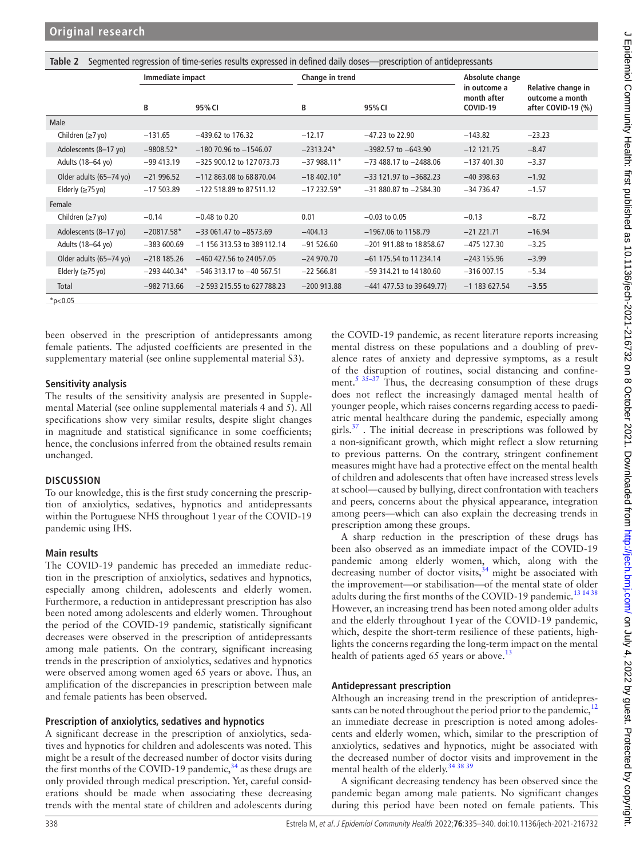<span id="page-3-0"></span>

| Segmented regression of time-series results expressed in defined daily doses—prescription of antidepressants<br>Table 2 |                  |                               |                 |                            |                                         |                                                             |  |  |  |
|-------------------------------------------------------------------------------------------------------------------------|------------------|-------------------------------|-----------------|----------------------------|-----------------------------------------|-------------------------------------------------------------|--|--|--|
|                                                                                                                         | Immediate impact |                               | Change in trend |                            | Absolute change                         |                                                             |  |  |  |
|                                                                                                                         | В                | 95% CI                        | В               | 95% CI                     | in outcome a<br>month after<br>COVID-19 | Relative change in<br>outcome a month<br>after COVID-19 (%) |  |  |  |
| Male                                                                                                                    |                  |                               |                 |                            |                                         |                                                             |  |  |  |
| Children $(\geq 7$ yo)                                                                                                  | $-131.65$        | $-439.62$ to 176.32           | $-12.17$        | $-47.23$ to 22.90          | $-143.82$                               | $-23.23$                                                    |  |  |  |
| Adolescents (8-17 yo)                                                                                                   | $-9808.52*$      | $-180$ 70.96 to $-1546.07$    | $-2313.24*$     | $-3982.57$ to $-643.90$    | $-12$ 121.75                            | $-8.47$                                                     |  |  |  |
| Adults (18-64 yo)                                                                                                       | $-99413.19$      | -325 900.12 to 127 073.73     | $-37988.11*$    | $-73488.17$ to $-2488.06$  | $-137401.30$                            | $-3.37$                                                     |  |  |  |
| Older adults (65-74 yo)                                                                                                 | $-21996.52$      | $-112863.08$ to 68870.04      | $-18,402.10*$   | $-33$ 121.97 to $-3682.23$ | $-40398.63$                             | $-1.92$                                                     |  |  |  |
| Elderly $(\geq 75 \text{ yo})$                                                                                          | $-17503.89$      | $-122$ 518.89 to 87511.12     | $-17232.59*$    | $-31880.87$ to $-2584.30$  | $-34736.47$                             | $-1.57$                                                     |  |  |  |
| Female                                                                                                                  |                  |                               |                 |                            |                                         |                                                             |  |  |  |
| Children $(\geq 7$ yo)                                                                                                  | $-0.14$          | $-0.48$ to 0.20               | 0.01            | $-0.03$ to 0.05            | $-0.13$                                 | $-8.72$                                                     |  |  |  |
| Adolescents (8-17 yo)                                                                                                   | $-20817.58*$     | $-33061.47$ to $-8573.69$     | $-404.13$       | $-1967.06$ to 1158.79      | $-21$ 221.71                            | $-16.94$                                                    |  |  |  |
| Adults (18-64 yo)                                                                                                       | $-383600.69$     | $-1$ 156 313.53 to 389112.14  | $-91526.60$     | -201 911.88 to 18858.67    | $-475$ 127.30                           | $-3.25$                                                     |  |  |  |
| Older adults (65-74 yo)                                                                                                 | $-218185.26$     | -460 427.56 to 24057.05       | $-24970.70$     | $-61$ 175.54 to 11234.14   | $-243$ 155.96                           | $-3.99$                                                     |  |  |  |
| Elderly $(\geq 75$ yo)                                                                                                  | $-293440.34*$    | $-546$ 313.17 to $-40$ 567.51 | $-22566.81$     | $-59$ 314.21 to 14180.60   | $-316007.15$                            | $-5.34$                                                     |  |  |  |
| Total                                                                                                                   | $-982713.66$     | $-2$ 593 215.55 to 627 788.23 | $-200$ 913.88   | $-441$ 477.53 to 39649.77) | $-1$ 183 627.54                         | $-3.55$                                                     |  |  |  |
| $*_{p<0.05}$                                                                                                            |                  |                               |                 |                            |                                         |                                                             |  |  |  |

been observed in the prescription of antidepressants among female patients. The adjusted coefficients are presented in the supplementary material (see [online supplemental material S3](https://dx.doi.org/10.1136/jech-2021-216732)).

#### **Sensitivity analysis**

The results of the sensitivity analysis are presented in Supplemental Material (see [online supplemental materials 4 and 5\)](https://dx.doi.org/10.1136/jech-2021-216732). All specifications show very similar results, despite slight changes in magnitude and statistical significance in some coefficients; hence, the conclusions inferred from the obtained results remain unchanged.

## **DISCUSSION**

To our knowledge, this is the first study concerning the prescription of anxiolytics, sedatives, hypnotics and antidepressants within the Portuguese NHS throughout 1year of the COVID-19 pandemic using IHS.

## **Main results**

The COVID-19 pandemic has preceded an immediate reduction in the prescription of anxiolytics, sedatives and hypnotics, especially among children, adolescents and elderly women. Furthermore, a reduction in antidepressant prescription has also been noted among adolescents and elderly women. Throughout the period of the COVID-19 pandemic, statistically significant decreases were observed in the prescription of antidepressants among male patients. On the contrary, significant increasing trends in the prescription of anxiolytics, sedatives and hypnotics were observed among women aged 65 years or above. Thus, an amplification of the discrepancies in prescription between male and female patients has been observed.

## **Prescription of anxiolytics, sedatives and hypnotics**

A significant decrease in the prescription of anxiolytics, sedatives and hypnotics for children and adolescents was noted. This might be a result of the decreased number of doctor visits during the first months of the COVID-19 pandemic,  $34$  as these drugs are only provided through medical prescription. Yet, careful considerations should be made when associating these decreasing trends with the mental state of children and adolescents during

the COVID-19 pandemic, as recent literature reports increasing mental distress on these populations and a doubling of prevalence rates of anxiety and depressive symptoms, as a result of the disruption of routines, social distancing and confinement.<sup>5 35-37</sup> Thus, the decreasing consumption of these drugs does not reflect the increasingly damaged mental health of younger people, which raises concerns regarding access to paediatric mental healthcare during the pandemic, especially among girls. $37$ . The initial decrease in prescriptions was followed by a non-significant growth, which might reflect a slow returning to previous patterns. On the contrary, stringent confinement measures might have had a protective effect on the mental health of children and adolescents that often have increased stress levels at school—caused by bullying, direct confrontation with teachers and peers, concerns about the physical appearance, integration among peers—which can also explain the decreasing trends in prescription among these groups.

A sharp reduction in the prescription of these drugs has been also observed as an immediate impact of the COVID-19 pandemic among elderly women, which, along with the decreasing number of doctor visits,  $34$  might be associated with the improvement—or stabilisation—of the mental state of older adults during the first months of the COVID-19 pandemic.<sup>[13 14 38](#page-5-5)</sup> However, an increasing trend has been noted among older adults and the elderly throughout 1year of the COVID-19 pandemic, which, despite the short-term resilience of these patients, highlights the concerns regarding the long-term impact on the mental health of patients aged 65 years or above.<sup>13</sup>

## **Antidepressant prescription**

Although an increasing trend in the prescription of antidepressants can be noted throughout the period prior to the pandemic,  $12$ an immediate decrease in prescription is noted among adolescents and elderly women, which, similar to the prescription of anxiolytics, sedatives and hypnotics, might be associated with the decreased number of doctor visits and improvement in the mental health of the elderly.<sup>[34 38 39](#page-5-19)</sup>

A significant decreasing tendency has been observed since the pandemic began among male patients. No significant changes during this period have been noted on female patients. This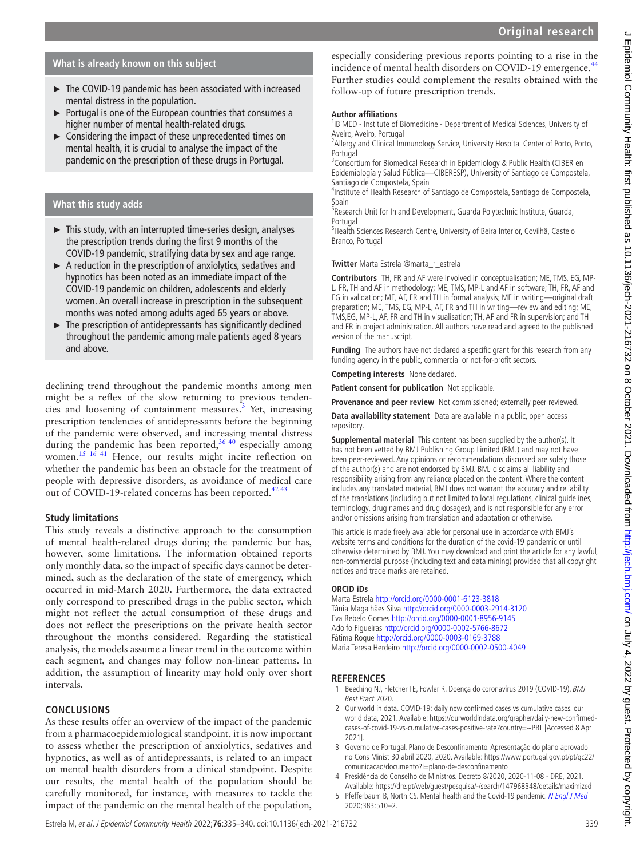# **What is already known on this subject**

- ► The COVID-19 pandemic has been associated with increased mental distress in the population.
- ► Portugal is one of the European countries that consumes a higher number of mental health-related drugs.
- ► Considering the impact of these unprecedented times on mental health, it is crucial to analyse the impact of the pandemic on the prescription of these drugs in Portugal.

## **What this study adds**

- ► This study, with an interrupted time-series design, analyses the prescription trends during the first 9 months of the COVID-19 pandemic, stratifying data by sex and age range.
- ► A reduction in the prescription of anxiolytics, sedatives and hypnotics has been noted as an immediate impact of the COVID-19 pandemic on children, adolescents and elderly women. An overall increase in prescription in the subsequent months was noted among adults aged 65 years or above.
- ► The prescription of antidepressants has significantly declined throughout the pandemic among male patients aged 8 years and above.

declining trend throughout the pandemic months among men might be a reflex of the slow returning to previous tenden-cies and loosening of containment measures.<sup>[3](#page-4-2)</sup> Yet, increasing prescription tendencies of antidepressants before the beginning of the pandemic were observed, and increasing mental distress during the pandemic has been reported,  $36\frac{40}{9}$  especially among women.<sup>[15 16 41](#page-5-22)</sup> Hence, our results might incite reflection on whether the pandemic has been an obstacle for the treatment of people with depressive disorders, as avoidance of medical care out of COVID-19-related concerns has been reported.<sup>424</sup>

# **Study limitations**

This study reveals a distinctive approach to the consumption of mental health-related drugs during the pandemic but has, however, some limitations. The information obtained reports only monthly data, so the impact of specific days cannot be determined, such as the declaration of the state of emergency, which occurred in mid-March 2020. Furthermore, the data extracted only correspond to prescribed drugs in the public sector, which might not reflect the actual consumption of these drugs and does not reflect the prescriptions on the private health sector throughout the months considered. Regarding the statistical analysis, the models assume a linear trend in the outcome within each segment, and changes may follow non-linear patterns. In addition, the assumption of linearity may hold only over short intervals.

# **CONCLUSIONS**

As these results offer an overview of the impact of the pandemic from a pharmacoepidemiological standpoint, it is now important to assess whether the prescription of anxiolytics, sedatives and hypnotics, as well as of antidepressants, is related to an impact on mental health disorders from a clinical standpoint. Despite our results, the mental health of the population should be carefully monitored, for instance, with measures to tackle the impact of the pandemic on the mental health of the population,

especially considering previous reports pointing to a rise in the incidence of mental health disorders on COVID-19 emergence.<sup>[44](#page-5-24)</sup> Further studies could complement the results obtained with the follow-up of future prescription trends.

# **Author affiliations**

<sup>1</sup>iBiMED - Institute of Biomedicine - Department of Medical Sciences, University of Aveiro, Aveiro, Portugal

<sup>2</sup> Allergy and Clinical Immunology Service, University Hospital Center of Porto, Porto, Portugal

<sup>3</sup> Consortium for Biomedical Research in Epidemiology & Public Health (CIBER en Epidemiología y Salud Pública—CIBERESP), University of Santiago de Compostela, Santiago de Compostela, Spain

4 Institute of Health Research of Santiago de Compostela, Santiago de Compostela, Spain

<sup>5</sup>Research Unit for Inland Development, Guarda Polytechnic Institute, Guarda, Portugal

<sup>6</sup>Health Sciences Research Centre, University of Beira Interior, Covilhã, Castelo Branco, Portugal

**Twitter** Marta Estrela [@marta\\_r\\_estrela](https://twitter.com/marta_r_estrela)

**Contributors** TH, FR and AF were involved in conceptualisation; ME, TMS, EG, MP-L. FR, TH and AF in methodology; ME, TMS, MP-L and AF in software; TH, FR, AF and EG in validation; ME, AF, FR and TH in formal analysis; ME in writing—original draft preparation; ME, TMS, EG, MP-L, AF, FR and TH in writing—review and editing; ME, TMS,EG, MP-L, AF, FR and TH in visualisation; TH, AF and FR in supervision; and TH and FR in project administration. All authors have read and agreed to the published version of the manuscript.

**Funding** The authors have not declared a specific grant for this research from any funding agency in the public, commercial or not-for-profit sectors.

**Competing interests** None declared.

**Patient consent for publication** Not applicable.

**Provenance and peer review** Not commissioned; externally peer reviewed.

**Data availability statement** Data are available in a public, open access repository.

**Supplemental material** This content has been supplied by the author(s). It has not been vetted by BMJ Publishing Group Limited (BMJ) and may not have been peer-reviewed. Any opinions or recommendations discussed are solely those of the author(s) and are not endorsed by BMJ. BMJ disclaims all liability and responsibility arising from any reliance placed on the content. Where the content includes any translated material, BMJ does not warrant the accuracy and reliability of the translations (including but not limited to local regulations, clinical guidelines, terminology, drug names and drug dosages), and is not responsible for any error and/or omissions arising from translation and adaptation or otherwise.

This article is made freely available for personal use in accordance with BMJ's website terms and conditions for the duration of the covid-19 pandemic or until otherwise determined by BMJ. You may download and print the article for any lawful, non-commercial purpose (including text and data mining) provided that all copyright notices and trade marks are retained.

#### **ORCID iDs**

Marta Estrela<http://orcid.org/0000-0001-6123-3818> Tânia Magalhães Silva<http://orcid.org/0000-0003-2914-3120> Eva Rebelo Gomes <http://orcid.org/0000-0001-8956-9145> Adolfo Figueiras <http://orcid.org/0000-0002-5766-8672> Fátima Roque<http://orcid.org/0000-0003-0169-3788> Maria Teresa Herdeiro<http://orcid.org/0000-0002-0500-4049>

# **REFERENCES**

- <span id="page-4-0"></span>1 Beeching NJ, Fletcher TE, Fowler R. Doença do coronavírus 2019 (COVID-19). BMJ Best Pract 2020.
- <span id="page-4-1"></span>2 Our world in data. COVID-19: daily new confirmed cases vs cumulative cases. our world data, 2021. Available: [https://ourworldindata.org/grapher/daily-new-confirmed](https://ourworldindata.org/grapher/daily-new-confirmed-cases-of-covid-19-vs-cumulative-cases-positive-rate?country=~PRT)[cases-of-covid-19-vs-cumulative-cases-positive-rate?country=~PRT](https://ourworldindata.org/grapher/daily-new-confirmed-cases-of-covid-19-vs-cumulative-cases-positive-rate?country=~PRT) [Accessed 8 Apr 2021].
- <span id="page-4-2"></span>3 Governo de Portugal. Plano de Desconfinamento. Apresentação do plano aprovado no Cons Minist 30 abril 2020, 2020. Available: [https://www.portugal.gov.pt/pt/gc22/](https://www.portugal.gov.pt/pt/gc22/comunicacao/documento?i=plano-de-desconfinamento) [comunicacao/documento?i=plano-de-desconfinamento](https://www.portugal.gov.pt/pt/gc22/comunicacao/documento?i=plano-de-desconfinamento)
- <span id="page-4-3"></span>4 Presidência do Conselho de Ministros. Decreto 8/2020, 2020-11-08 - DRE, 2021. Available:<https://dre.pt/web/guest/pesquisa/-/search/147968348/details/maximized>
- <span id="page-4-4"></span>5 Pfefferbaum B, North CS. Mental health and the Covid-19 pandemic. [N Engl J Med](http://dx.doi.org/10.1056/NEJMp2008017) 2020;383:510–2.